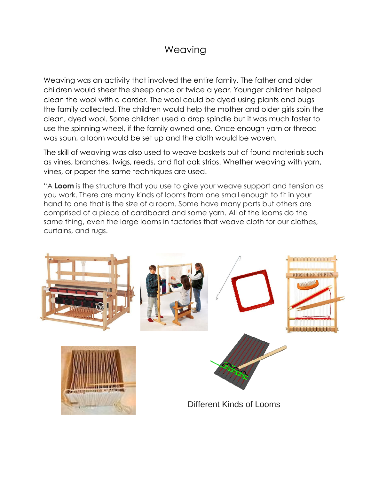## **Weaving**

Weaving was an activity that involved the entire family. The father and older children would sheer the sheep once or twice a year. Younger children helped clean the wool with a carder. The wool could be dyed using plants and bugs the family collected. The children would help the mother and older girls spin the clean, dyed wool. Some children used a drop spindle but it was much faster to use the spinning wheel, if the family owned one. Once enough yarn or thread was spun, a loom would be set up and the cloth would be woven.

The skill of weaving was also used to weave baskets out of found materials such as vines, branches, twigs, reeds, and flat oak strips. Whether weaving with yarn, vines, or paper the same techniques are used.

"A **Loom** is the structure that you use to give your weave support and tension as you work. There are many kinds of looms from one small enough to fit in your hand to one that is the size of a room. Some have many parts but others are comprised of a piece of cardboard and some yarn. All of the looms do the same thing, even the large looms in factories that weave cloth for our clothes, curtains, and rugs.

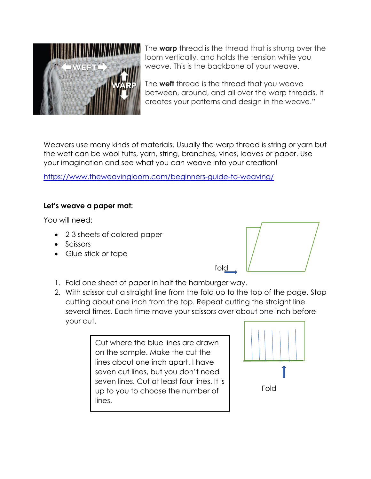

The **warp** thread is the thread that is strung over the loom vertically, and holds the tension while you weave. This is the backbone of your weave.

The **weft** thread is the thread that you weave between, around, and all over the warp threads. It creates your patterns and design in the weave."

Weavers use many kinds of materials. Usually the warp thread is string or yarn but the weft can be wool tufts, yarn, string, branches, vines, leaves or paper. Use your imagination and see what you can weave into your creation!

<https://www.theweavingloom.com/beginners-guide-to-weaving/>

## **Let's weave a paper mat:**

You will need:

- 2-3 sheets of colored paper
- Scissors
- Glue stick or tape



- 1. Fold one sheet of paper in half the hamburger way.
- 2. With scissor cut a straight line from the fold up to the top of the page. Stop cutting about one inch from the top. Repeat cutting the straight line several times. Each time move your scissors over about one inch before your cut.

Cut where the blue lines are drawn on the sample. Make the cut the lines about one inch apart. I have seven cut lines, but you don't need seven lines. Cut at least four lines. It is up to you to choose the number of lines.

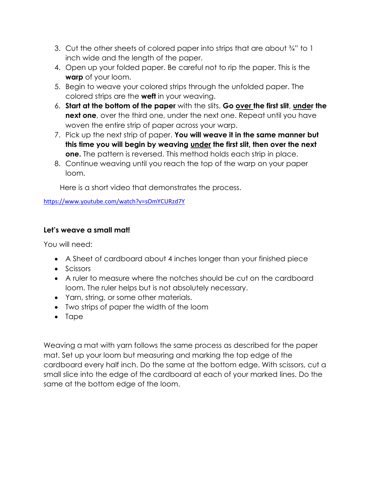- 3. Cut the other sheets of colored paper into strips that are about ¾" to 1 inch wide and the length of the paper.
- 4. Open up your folded paper. Be careful not to rip the paper. This is the **warp** of your loom.
- 5. Begin to weave your colored strips through the unfolded paper. The colored strips are the **weft** in your weaving.
- 6. **Start at the bottom of the paper** with the slits. **Go over the first slit**, **under the next one**, over the third one, under the next one. Repeat until you have woven the entire strip of paper across your warp.
- 7. Pick up the next strip of paper. **You will weave it in the same manner but this time you will begin by weaving under the first slit, then over the next one.** The pattern is reversed. This method holds each strip in place.
- 8. Continue weaving until you reach the top of the warp on your paper loom.

Here is a short video that demonstrates the process.

<https://www.youtube.com/watch?v=sOmYCURzd7Y>

## **Let's weave a small mat!**

You will need:

- A Sheet of cardboard about 4 inches longer than your finished piece
- Scissors
- A ruler to measure where the notches should be cut on the cardboard loom. The ruler helps but is not absolutely necessary.
- Yarn, string, or some other materials.
- Two strips of paper the width of the loom
- Tape

Weaving a mat with yarn follows the same process as described for the paper mat. Set up your loom but measuring and marking the top edge of the cardboard every half inch. Do the same at the bottom edge. With scissors, cut a small slice into the edge of the cardboard at each of your marked lines. Do the same at the bottom edge of the loom.